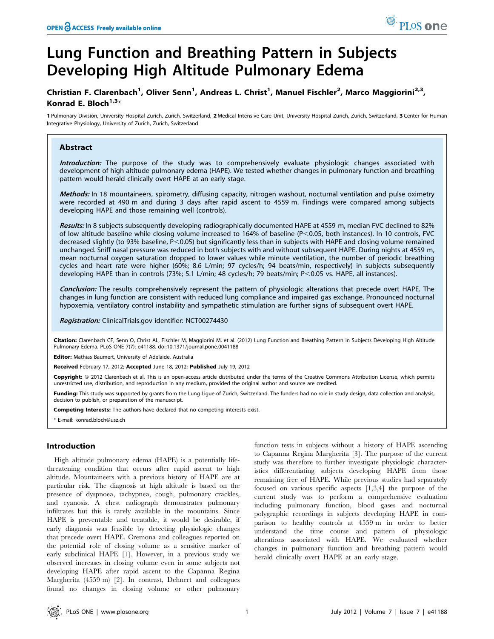# Lung Function and Breathing Pattern in Subjects Developing High Altitude Pulmonary Edema

# Christian F. Clarenbach<sup>1</sup>, Oliver Senn<sup>1</sup>, Andreas L. Christ<sup>1</sup>, Manuel Fischler<sup>2</sup>, Marco Maggiorini<sup>2,3</sup>, Konrad E. Bloch<sup>1,3\*</sup>

1 Pulmonary Division, University Hospital Zurich, Zurich, Switzerland, 2 Medical Intensive Care Unit, University Hospital Zurich, Zurich, Switzerland, 3 Center for Human Integrative Physiology, University of Zurich, Zurich, Switzerland

# Abstract

Introduction: The purpose of the study was to comprehensively evaluate physiologic changes associated with development of high altitude pulmonary edema (HAPE). We tested whether changes in pulmonary function and breathing pattern would herald clinically overt HAPE at an early stage.

Methods: In 18 mountaineers, spirometry, diffusing capacity, nitrogen washout, nocturnal ventilation and pulse oximetry were recorded at 490 m and during 3 days after rapid ascent to 4559 m. Findings were compared among subjects developing HAPE and those remaining well (controls).

Results: In 8 subjects subsequently developing radiographically documented HAPE at 4559 m, median FVC declined to 82% of low altitude baseline while closing volume increased to 164% of baseline (P<0.05, both instances). In 10 controls, FVC decreased slightly (to 93% baseline, P<0.05) but significantly less than in subjects with HAPE and closing volume remained unchanged. Sniff nasal pressure was reduced in both subjects with and without subsequent HAPE. During nights at 4559 m, mean nocturnal oxygen saturation dropped to lower values while minute ventilation, the number of periodic breathing cycles and heart rate were higher (60%; 8.6 L/min; 97 cycles/h; 94 beats/min, respectively) in subjects subsequently developing HAPE than in controls (73%; 5.1 L/min; 48 cycles/h; 79 beats/min; P<0.05 vs. HAPE, all instances).

Conclusion: The results comprehensively represent the pattern of physiologic alterations that precede overt HAPE. The changes in lung function are consistent with reduced lung compliance and impaired gas exchange. Pronounced nocturnal hypoxemia, ventilatory control instability and sympathetic stimulation are further signs of subsequent overt HAPE.

Registration: ClinicalTrials.gov identifier: NCT00274430

Citation: Clarenbach CF, Senn O, Christ AL, Fischler M, Maggiorini M, et al. (2012) Lung Function and Breathing Pattern in Subjects Developing High Altitude Pulmonary Edema. PLoS ONE 7(7): e41188. doi:10.1371/journal.pone.0041188

Editor: Mathias Baumert, University of Adelaide, Australia

Received February 17, 2012; Accepted June 18, 2012; Published July 19, 2012

Copyright: © 2012 Clarenbach et al. This is an open-access article distributed under the terms of the Creative Commons Attribution License, which permits unrestricted use, distribution, and reproduction in any medium, provided the original author and source are credited.

Funding: This study was supported by grants from the Lung Ligue of Zurich, Switzerland. The funders had no role in study design, data collection and analysis, decision to publish, or preparation of the manuscript.

Competing Interests: The authors have declared that no competing interests exist.

\* E-mail: konrad.bloch@usz.ch

# Introduction

High altitude pulmonary edema (HAPE) is a potentially lifethreatening condition that occurs after rapid ascent to high altitude. Mountaineers with a previous history of HAPE are at particular risk. The diagnosis at high altitude is based on the presence of dyspnoea, tachypnea, cough, pulmonary crackles, and cyanosis. A chest radiograph demonstrates pulmonary infiltrates but this is rarely available in the mountains. Since HAPE is preventable and treatable, it would be desirable, if early diagnosis was feasible by detecting physiologic changes that precede overt HAPE. Cremona and colleagues reported on the potential role of closing volume as a sensitive marker of early subclinical HAPE [1]. However, in a previous study we observed increases in closing volume even in some subjects not developing HAPE after rapid ascent to the Capanna Regina Margherita (4559 m) [2]. In contrast, Dehnert and colleagues found no changes in closing volume or other pulmonary

function tests in subjects without a history of HAPE ascending to Capanna Regina Margherita [3]. The purpose of the current study was therefore to further investigate physiologic characteristics differentiating subjects developing HAPE from those remaining free of HAPE. While previous studies had separately focused on various specific aspects [1,3,4] the purpose of the current study was to perform a comprehensive evaluation including pulmonary function, blood gases and nocturnal polygraphic recordings in subjects developing HAPE in comparison to healthy controls at 4559 m in order to better understand the time course and pattern of physiologic alterations associated with HAPE. We evaluated whether changes in pulmonary function and breathing pattern would herald clinically overt HAPE at an early stage.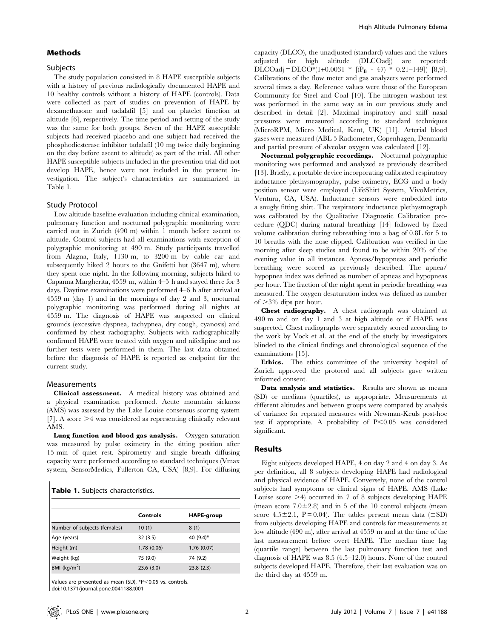### Methods

#### **Subjects**

The study population consisted in 8 HAPE susceptible subjects with a history of previous radiologically documented HAPE and 10 healthy controls without a history of HAPE (controls). Data were collected as part of studies on prevention of HAPE by dexamethasone and tadalafil [5] and on platelet function at altitude [6], respectively. The time period and setting of the study was the same for both groups. Seven of the HAPE susceptible subjects had received placebo and one subject had received the phosphodiesterase inhibitor tadalafil (10 mg twice daily beginning on the day before ascent to altitude) as part of the trial. All other HAPE susceptible subjects included in the prevention trial did not develop HAPE, hence were not included in the present investigation. The subject's characteristics are summarized in Table 1.

#### Study Protocol

Low altitude baseline evaluation including clinical examination, pulmonary function and nocturnal polygraphic monitoring were carried out in Zurich (490 m) within 1 month before ascent to altitude. Control subjects had all examinations with exception of polygraphic monitoring at 490 m. Study participants travelled from Alagna, Italy, 1130 m, to 3200 m by cable car and subsequently hiked 2 hours to the Gnifetti hut (3647 m), where they spent one night. In the following morning, subjects hiked to Capanna Margherita, 4559 m, within 4–5 h and stayed there for 3 days. Daytime examinations were performed 4–6 h after arrival at 4559 m (day 1) and in the mornings of day 2 and 3, nocturnal polygraphic monitoring was performed during all nights at 4559 m. The diagnosis of HAPE was suspected on clinical grounds (excessive dyspnea, tachypnea, dry cough, cyanosis) and confirmed by chest radiography. Subjects with radiographically confirmed HAPE were treated with oxygen and nifedipine and no further tests were performed in them. The last data obtained before the diagnosis of HAPE is reported as endpoint for the current study.

#### Measurements

Clinical assessment. A medical history was obtained and a physical examination performed. Acute mountain sickness (AMS) was assessed by the Lake Louise consensus scoring system [7]. A score  $\geq$ 4 was considered as representing clinically relevant AMS.

Lung function and blood gas analysis. Oxygen saturation was measured by pulse oximetry in the sitting position after 15 min of quiet rest. Spirometry and single breath diffusing capacity were performed according to standard techniques (Vmax system, SensorMedics, Fullerton CA, USA) [8,9]. For diffusing

Table 1. Subjects characteristics.

|                              | Controls   | <b>HAPE-group</b> |
|------------------------------|------------|-------------------|
| Number of subjects (females) | 10(1)      | 8(1)              |
| Age (years)                  | 32(3.5)    | 40 $(9.4)$ *      |
| Height (m)                   | 1.78(0.06) | 1.76(0.07)        |
| Weight (kg)                  | 75 (9.0)   | 74 (9.2)          |
| BMI ( $kg/m2$ )              | 23.6(3.0)  | 23.8(2.3)         |

Values are presented as mean (SD),  $*P<0.05$  vs. controls. doi:10.1371/journal.pone.0041188.t001

capacity (DLCO), the unadjusted (standard) values and the values adjusted for high altitude (DLCOadj) are reported: DLCOadj = DLCO\*(1+0.0031 \*  $[(P_B - 47) * 0.21-149]$ ) [8,9]. Calibrations of the flow meter and gas analyzers were performed several times a day. Reference values were those of the European Community for Steel and Coal [10]. The nitrogen washout test was performed in the same way as in our previous study and described in detail [2]. Maximal inspiratory and sniff nasal pressures were measured according to standard techniques (MicroRPM, Micro Medical, Kent, UK) [11]. Arterial blood gases were measured (ABL 5 Radiometer, Copenhagen, Denmark) and partial pressure of alveolar oxygen was calculated [12].

Nocturnal polygraphic recordings. Nocturnal polygraphic monitoring was performed and analyzed as previously described [13]. Briefly, a portable device incorporating calibrated respiratory inductance plethysmography, pulse oximetry, ECG and a body position sensor were employed (LifeShirt System, VivoMetrics, Ventura, CA, USA). Inductance sensors were embedded into a snugly fitting shirt. The respiratory inductance plethysmograph was calibrated by the Qualitative Diagnostic Calibration procedure (QDC) during natural breathing [14] followed by fixed volume calibration during rebreathing into a bag of 0.8L for 5 to 10 breaths with the nose clipped. Calibration was verified in the morning after sleep studies and found to be within 20% of the evening value in all instances. Apneas/hypopneas and periodic breathing were scored as previously described. The apnea/ hypopnea index was defined as number of apneas and hypopneas per hour. The fraction of the night spent in periodic breathing was measured. The oxygen desaturation index was defined as number of  $>3\%$  dips per hour.

Chest radiography. A chest radiograph was obtained at 490 m and on day 1 and 3 at high altitude or if HAPE was suspected. Chest radiographs were separately scored according to the work by Vock et al. at the end of the study by investigators blinded to the clinical findings and chronological sequence of the examinations [15].

Ethics. The ethics committee of the university hospital of Zurich approved the protocol and all subjects gave written informed consent.

Data analysis and statistics. Results are shown as means (SD) or medians (quartiles), as appropriate. Measurements at different altitudes and between groups were compared by analysis of variance for repeated measures with Newman-Keuls post-hoc test if appropriate. A probability of  $P<0.05$  was considered significant.

## Results

Eight subjects developed HAPE, 4 on day 2 and 4 on day 3. As per definition, all 8 subjects developing HAPE had radiological and physical evidence of HAPE. Conversely, none of the control subjects had symptoms or clinical signs of HAPE. AMS (Lake Louise score  $>4$ ) occurred in 7 of 8 subjects developing HAPE (mean score  $7.0\pm2.8$ ) and in 5 of the 10 control subjects (mean score 4.5 $\pm$ 2.1, P = 0.04). The tables present mean data ( $\pm$ SD) from subjects developing HAPE and controls for measurements at low altitude (490 m), after arrival at 4559 m and at the time of the last measurement before overt HAPE. The median time lag (quartile range) between the last pulmonary function test and diagnosis of HAPE was 8.5 (4.5–12.0) hours. None of the control subjects developed HAPE. Therefore, their last evaluation was on the third day at 4559 m.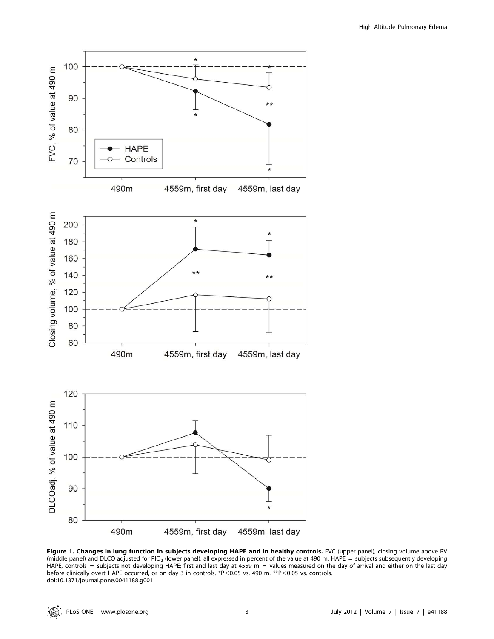

Figure 1. Changes in lung function in subjects developing HAPE and in healthy controls. FVC (upper panel), closing volume above RV (middle panel) and DLCO adjusted for PIO2 (lower panel), all expressed in percent of the value at 490 m. HAPE = subjects subsequently developing HAPE, controls = subjects not developing HAPE; first and last day at 4559 m = values measured on the day of arrival and either on the last day before clinically overt HAPE occurred, or on day 3 in controls. \*P<0.05 vs. 490 m. \*\*P<0.05 vs. controls. doi:10.1371/journal.pone.0041188.g001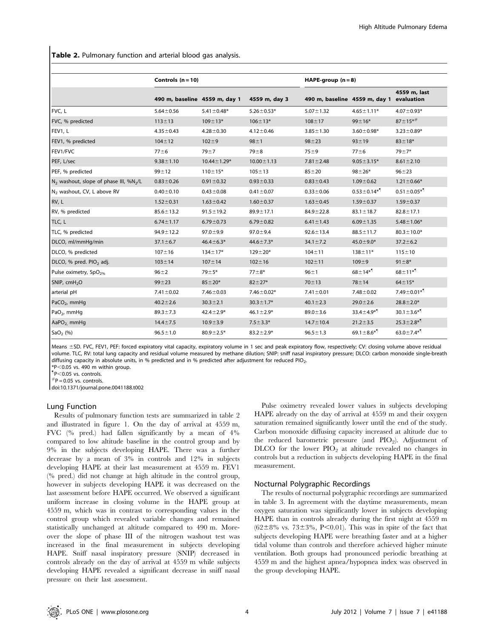Table 2. Pulmonary function and arterial blood gas analysis.

|                                              |                               | Controls $(n = 10)$ |                  |                                          | HAPE-group $(n=8)$           |                              |  |  |
|----------------------------------------------|-------------------------------|---------------------|------------------|------------------------------------------|------------------------------|------------------------------|--|--|
|                                              | 490 m, baseline 4559 m, day 1 |                     | 4559 m, day 3    | 490 m, baseline 4559 m, day 1 evaluation |                              | 4559 m, last                 |  |  |
| FVC, L                                       | $5.64 \pm 0.56$               | $5.41 \pm 0.48*$    | $5.26 \pm 0.53*$ | $5.07 \pm 1.32$                          | $4.65 \pm 1.11*$             | $4.07 \pm 0.93*$             |  |  |
| FVC, % predicted                             | $113 \pm 13$                  | $109 \pm 13*$       | $106 \pm 13*$    | $108 + 17$                               | $99 \pm 16*$                 | $87 \pm 15^{* \#}$           |  |  |
| FEV1, L                                      | $4.35 \pm 0.43$               | $4.28 \pm 0.30$     | $4.12 \pm 0.46$  | $3.85 \pm 1.30$                          | $3.60 \pm 0.98*$             | $3.23 \pm 0.89*$             |  |  |
| FEV1, % predicted                            | $104 \pm 12$                  | $102 + 9$           | $98 + 1$         | $98 + 23$                                | $93 + 19$                    | $83 \pm 18*$                 |  |  |
| FEV1/FVC                                     | $77 + 6$                      | $79 + 7$            | $79\pm8$         | $75 \pm 9$                               | $77 + 6$                     | $79 + 7*$                    |  |  |
| PEF, L/sec                                   | $9.38 \pm 1.10$               | $10.44 \pm 1.29*$   | $10.00 \pm 1.13$ | $7.81 \pm 2.48$                          | $9.05 \pm 3.15*$             | $8.61 \pm 2.10$              |  |  |
| PEF, % predicted                             | $99 + 12$                     | $110 \pm 15*$       | $105 + 13$       | $85 + 20$                                | $98 + 26*$                   | $96 + 23$                    |  |  |
| $N_2$ washout, slope of phase III, % $N_2/L$ | $0.83 \pm 0.26$               | $0.91 \pm 0.32$     | $0.93 \pm 0.33$  | $0.83 \pm 0.43$                          | $1.09 \pm 0.62$              | $1.21 \pm 0.66*$             |  |  |
| N <sub>2</sub> washout, CV, L above RV       | $0.40 \pm 0.10$               | $0.43 \pm 0.08$     | $0.41 \pm 0.07$  | $0.33 \pm 0.06$                          | $0.53 \pm 0.14$ *            | $0.51 \pm 0.05*$             |  |  |
| RV, L                                        | $1.52 \pm 0.31$               | $1.63 \pm 0.42$     | $1.60 \pm 0.37$  | $1.63 \pm 0.45$                          | $1.59 \pm 0.37$              | $1.59 \pm 0.37$              |  |  |
| RV, % predicted                              | $85.6 \pm 13.2$               | $91.5 \pm 19.2$     | $89.9 \pm 17.1$  | $84.9 \pm 22.8$                          | $83.1 \pm 18.7$              | $82.8 \pm 17.1$              |  |  |
| TLC, L                                       | $6.74 \pm 1.17$               | $6.79 \pm 0.73$     | $6.79 \pm 0.82$  | $6.41 \pm 1.43$                          | $6.09 \pm 1.35$              | $5.48 \pm 1.06*$             |  |  |
| TLC, % predicted                             | $94.9 \pm 12.2$               | $97.0 \pm 9.9$      | $97.0 \pm 9.4$   | $92.6 \pm 13.4$                          | $88.5 \pm 11.7$              | $80.3 \pm 10.0*$             |  |  |
| DLCO, ml/mmHg/min                            | $37.1 \pm 6.7$                | $46.4 \pm 6.3*$     | $44.6 \pm 7.3*$  | $34.1 \pm 7.2$                           | $45.0 \pm 9.0^*$             | $37.2 \pm 6.2$               |  |  |
| DLCO, % predicted                            | $107 + 16$                    | $134 \pm 17*$       | $129 \pm 20*$    | $104 \pm 11$                             | $138 \pm 11*$                | $115 + 10$                   |  |  |
| DLCO, % pred. PIO <sub>2</sub> adj.          | $103 \pm 14$                  | $107 + 14$          | $102 \pm 16$     | $102 + 11$                               | $109 + 9$                    | $91 \pm 8*$                  |  |  |
| Pulse oximetry, SpO <sub>2%</sub>            | $96 + 2$                      | $79 + 5*$           | $77 + 8*$        | $96 + 1$                                 | $68 \pm 14*$                 | $68 \pm 11^{*1}$             |  |  |
| SNIP, cmH <sub>2</sub> O                     | $99 + 23$                     | $85 \pm 20*$        | $82 + 27*$       | $70 + 13$                                | $78 + 14$                    | $64 \pm 15*$                 |  |  |
| arterial pH                                  | $7.41 \pm 0.02$               | $7.46 \pm 0.03$     | $7.46 \pm 0.02*$ | $7.41 \pm 0.01$                          | $7.48 \pm 0.02$              | $7.49 \pm 0.01*$             |  |  |
| PaCO <sub>2</sub> , mmHg                     | $40.2 \pm 2.6$                | $30.3 \pm 2.1$      | $30.3 \pm 1.7*$  | $40.1 \pm 2.3$                           | $29.0 \pm 2.6$               | $28.8 \pm 2.0*$              |  |  |
| PaO <sub>2</sub> , mmHq                      | $89.3 \pm 7.3$                | $42.4 \pm 2.9*$     | $46.1 \pm 2.9*$  | $89.0 \pm 3.6$                           | $33.4 \pm 4.9*$ <sup>1</sup> | $30.1 \pm 3.6*$ <sup>1</sup> |  |  |
| AaPO <sub>2.</sub> mmHg                      | $14.4 \pm 7.5$                | $10.9 + 3.9$        | $7.5 \pm 3.3*$   | $14.7 \pm 10.4$                          | $21.2 \pm 3.5$               | $25.3 \pm 2.8$ *             |  |  |
| $SaO2$ (%)                                   | $96.5 \pm 1.0$                | $80.9 \pm 2.5*$     | $83.2 \pm 2.9*$  | $96.5 \pm 1.3$                           | $69.1 \pm 8.6*$ <sup>1</sup> | $63.0 \pm 7.4$ *             |  |  |

Means ±SD. FVC, FEV1, PEF: forced expiratory vital capacity, expiratory volume in 1 sec and peak expiratory flow, respectively; CV: closing volume above residual volume. TLC, RV: total lung capacity and residual volume measured by methane dilution; SNIP: sniff nasal inspiratory pressure; DLCO: carbon monoxide single-breath diffusing capacity in absolute units, in % predicted and in % predicted after adjustment for reduced PIO<sub>2</sub>.

 $*P<0.05$  vs. 490 m within group.<br> $\P P<0.05$  vs. controls.

 ${}^{#}P = 0.05$  vs. controls.

doi:10.1371/journal.pone.0041188.t002

#### Lung Function

Results of pulmonary function tests are summarized in table 2 and illustrated in figure 1. On the day of arrival at 4559 m, FVC (% pred.) had fallen significantly by a mean of 4% compared to low altitude baseline in the control group and by 9% in the subjects developing HAPE. There was a further decrease by a mean of 3% in controls and 12% in subjects developing HAPE at their last measurement at 4559 m. FEV1 (% pred.) did not change at high altitude in the control group, however in subjects developing HAPE it was decreased on the last assessment before HAPE occurred. We observed a significant uniform increase in closing volume in the HAPE group at 4559 m, which was in contrast to corresponding values in the control group which revealed variable changes and remained statistically unchanged at altitude compared to 490 m. Moreover the slope of phase III of the nitrogen washout test was increased in the final measurement in subjects developing HAPE. Sniff nasal inspiratory pressure (SNIP) decreased in controls already on the day of arrival at 4559 m while subjects developing HAPE revealed a significant decrease in sniff nasal pressure on their last assessment.

Pulse oximetry revealed lower values in subjects developing HAPE already on the day of arrival at 4559 m and their oxygen saturation remained significantly lower until the end of the study. Carbon monoxide diffusing capacity increased at altitude due to the reduced barometric pressure (and  $PIO_2$ ). Adjustment of DLCO for the lower  $PIO<sub>2</sub>$  at altitude revealed no changes in controls but a reduction in subjects developing HAPE in the final measurement.

# Nocturnal Polygraphic Recordings

The results of nocturnal polygraphic recordings are summarized in table 3. In agreement with the daytime measurements, mean oxygen saturation was significantly lower in subjects developing HAPE than in controls already during the first night at 4559 m  $(62\pm8\% \text{ vs. } 73\pm3\%, \text{ P}<0.01)$ . This was in spite of the fact that subjects developing HAPE were breathing faster and at a higher tidal volume than controls and therefore achieved higher minute ventilation. Both groups had pronounced periodic breathing at 4559 m and the highest apnea/hypopnea index was observed in the group developing HAPE.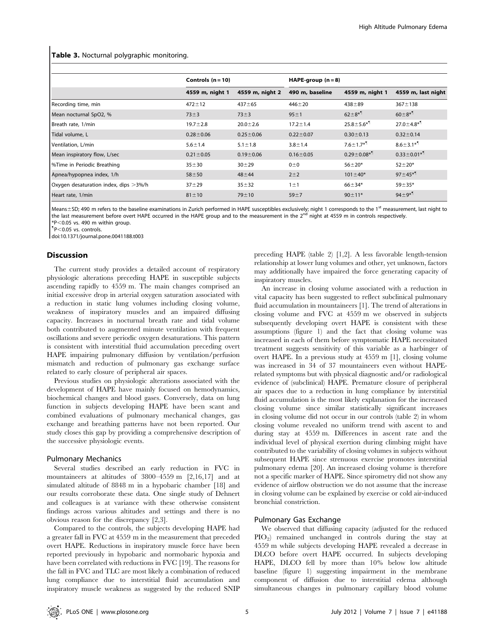#### Table 3. Nocturnal polygraphic monitoring.

|                                       | Controls $(n = 10)$ |                 | HAPE-group $(n=8)$ |                              |                             |
|---------------------------------------|---------------------|-----------------|--------------------|------------------------------|-----------------------------|
|                                       | 4559 m, night 1     | 4559 m, night 2 | 490 m, baseline    | 4559 m, night 1              | 4559 m, last night          |
| Recording time, min                   | $472 \pm 12$        | $437 + 65$      | $446 + 20$         | $438 + 89$                   | $367 + 138$                 |
| Mean nocturnal SpO2, %                | $73 + 3$            | $73 + 3$        | $95 + 1$           | $62 \pm 8*$                  | $60 \pm 8*$ <sup>1</sup>    |
| Breath rate, 1/min                    | $19.7 \pm 2.8$      | $20.0 + 2.6$    | $17.2 \pm 1.4$     | $25.8 \pm 5.6*$ <sup>1</sup> | $27.0 \pm 4.8$ *            |
| Tidal volume, L                       | $0.28 \pm 0.06$     | $0.25 \pm 0.06$ | $0.22 \pm 0.07$    | $0.30 \pm 0.13$              | $0.32 \pm 0.14$             |
| Ventilation, L/min                    | $5.6 \pm 1.4$       | $5.1 \pm 1.8$   | $3.8 \pm 1.4$      | $7.6 \pm 1.7^{*1}$           | $8.6 \pm 3.1*$ <sup>1</sup> |
| Mean inspiratory flow, L/sec          | $0.21 \pm 0.05$     | $0.19 + 0.06$   | $0.16 \pm 0.05$    | $0.29 \pm 0.08**$            | $0.33 \pm 0.01^{*T}$        |
| <b>S</b> Time in Periodic Breathing   | $35 + 30$           | $30 + 29$       | $0\pm 0$           | $56 + 20*$                   | $52 + 20*$                  |
| Apnea/hypopnea index, 1/h             | $58 + 50$           | $48 + 44$       | $2 + 2$            | $101 \pm 40*$                | $97 \pm 45^{*}$             |
| Oxygen desaturation index, dips >3%/h | $37 + 29$           | $35 + 32$       | $1 \pm 1$          | $66 + 34*$                   | $59 + 35*$                  |
| Heart rate, 1/min                     | $81 \pm 10$         | $79 + 10$       | $59 + 7$           | $90 \pm 11*$                 | $94 \pm 9*$ <sup>1</sup>    |

Means±SD; 490 m refers to the baseline examinations in Zurich performed in HAPE susceptibles exclusively; night 1 corresponds to the 1<sup>st</sup> measurement, last night to the last measurement before overt HAPE occurred in the HAPE group and to the measurement in the 2<sup>nd</sup> night at 4559 m in controls respectively.  $*P<0.05$  vs. 490 m within group.

 $P<0.05$  vs. controls.

doi:10.1371/journal.pone.0041188.t003

#### Discussion

The current study provides a detailed account of respiratory physiologic alterations preceding HAPE in susceptible subjects ascending rapidly to 4559 m. The main changes comprised an initial excessive drop in arterial oxygen saturation associated with a reduction in static lung volumes including closing volume, weakness of inspiratory muscles and an impaired diffusing capacity. Increases in nocturnal breath rate and tidal volume both contributed to augmented minute ventilation with frequent oscillations and severe periodic oxygen desaturations. This pattern is consistent with interstitial fluid accumulation preceding overt HAPE impairing pulmonary diffusion by ventilation/perfusion mismatch and reduction of pulmonary gas exchange surface related to early closure of peripheral air spaces.

Previous studies on physiologic alterations associated with the development of HAPE have mainly focused on hemodynamics, biochemical changes and blood gases. Conversely, data on lung function in subjects developing HAPE have been scant and combined evaluations of pulmonary mechanical changes, gas exchange and breathing patterns have not been reported. Our study closes this gap by providing a comprehensive description of the successive physiologic events.

#### Pulmonary Mechanics

Several studies described an early reduction in FVC in mountaineers at altitudes of 3800–4559 m [2,16,17] and at simulated altitude of 8848 m in a hypobaric chamber [18] and our results corroborate these data. One single study of Dehnert and colleagues is at variance with these otherwise consistent findings across various altitudes and settings and there is no obvious reason for the discrepancy [2,3].

Compared to the controls, the subjects developing HAPE had a greater fall in FVC at 4559 m in the measurement that preceded overt HAPE. Reductions in inspiratory muscle force have been reported previously in hypobaric and normobaric hypoxia and have been correlated with reductions in FVC [19]. The reasons for the fall in FVC and TLC are most likely a combination of reduced lung compliance due to interstitial fluid accumulation and inspiratory muscle weakness as suggested by the reduced SNIP preceding HAPE (table 2) [1,2]. A less favorable length-tension relationship at lower lung volumes and other, yet unknown, factors may additionally have impaired the force generating capacity of inspiratory muscles.

An increase in closing volume associated with a reduction in vital capacity has been suggested to reflect subclinical pulmonary fluid accumulation in mountaineers [1]. The trend of alterations in closing volume and FVC at 4559 m we observed in subjects subsequently developing overt HAPE is consistent with these assumptions (figure 1) and the fact that closing volume was increased in each of them before symptomatic HAPE necessitated treatment suggests sensitivity of this variable as a harbinger of overt HAPE. In a previous study at 4559 m [1], closing volume was increased in 34 of 37 mountaineers even without HAPErelated symptoms but with physical diagnostic and/or radiological evidence of (subclinical) HAPE. Premature closure of peripheral air spaces due to a reduction in lung compliance by interstitial fluid accumulation is the most likely explanation for the increased closing volume since similar statistically significant increases in closing volume did not occur in our controls (table 2) in whom closing volume revealed no uniform trend with ascent to and during stay at 4559 m. Differences in ascent rate and the individual level of physical exertion during climbing might have contributed to the variability of closing volumes in subjects without subsequent HAPE since strenuous exercise promotes interstitial pulmonary edema [20]. An increased closing volume is therefore not a specific marker of HAPE. Since spirometry did not show any evidence of airflow obstruction we do not assume that the increase in closing volume can be explained by exercise or cold air-induced bronchial constriction.

#### Pulmonary Gas Exchange

We observed that diffusing capacity (adjusted for the reduced PIO2) remained unchanged in controls during the stay at 4559 m while subjects developing HAPE revealed a decrease in DLCO before overt HAPE occurred. In subjects developing HAPE, DLCO fell by more than 10% below low altitude baseline (figure 1) suggesting impairment in the membrane component of diffusion due to interstitial edema although simultaneous changes in pulmonary capillary blood volume